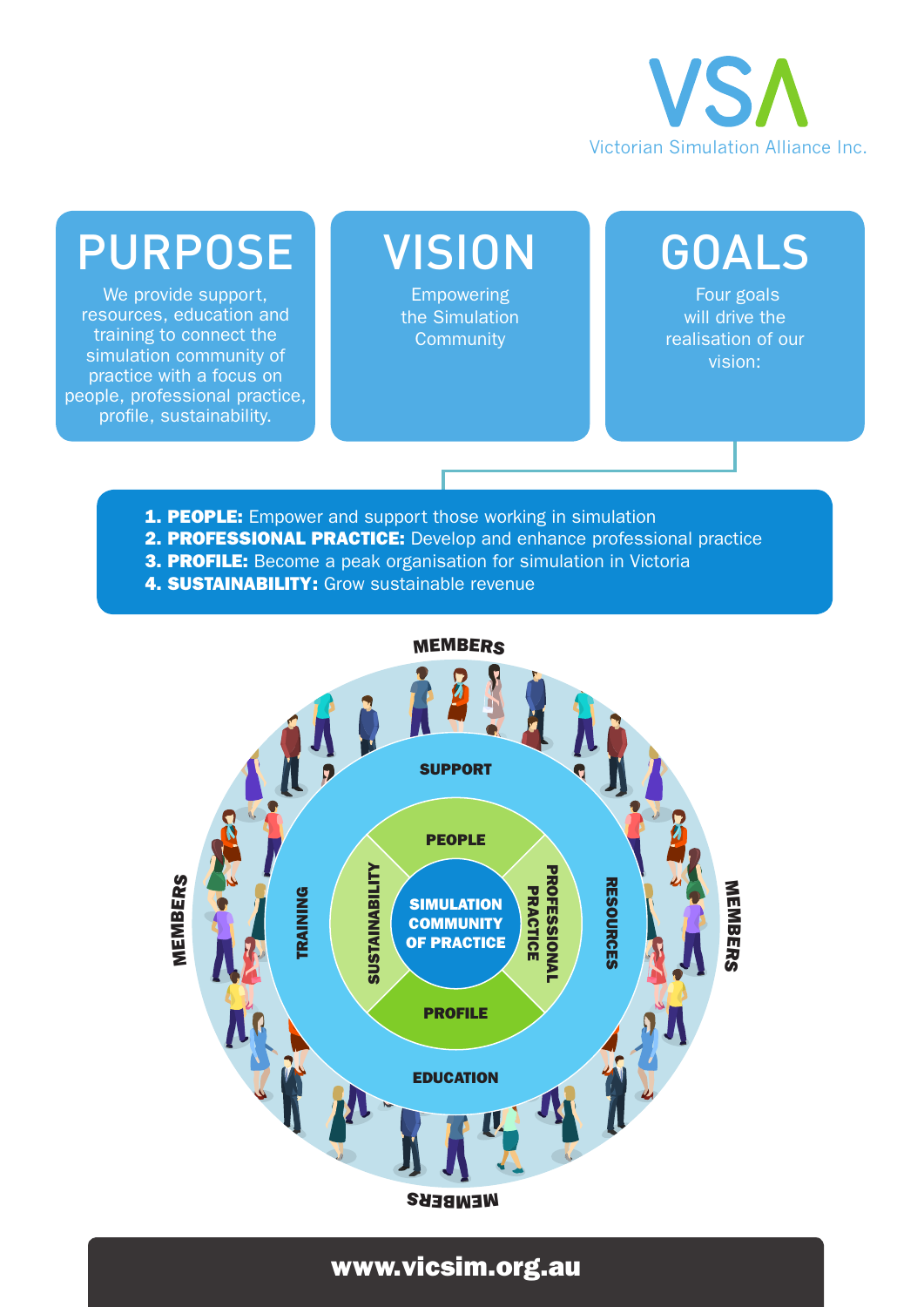

## PURPOSE

We provide support, resources, education and training to connect the simulation community of practice with a focus on people, professional practice, profile, sustainability.

## **VISION**

Empowering the Simulation **Community** 

### GOALS

 Four goals will drive the realisation of our vision:

- **1. PEOPLE:** Empower and support those working in simulation
- 2. PROFESSIONAL PRACTICE: Develop and enhance professional practice
- **3. PROFILE:** Become a peak organisation for simulation in Victoria
- **4. SUSTAINABILITY:** Grow sustainable revenue



#### www.vicsim.org.au